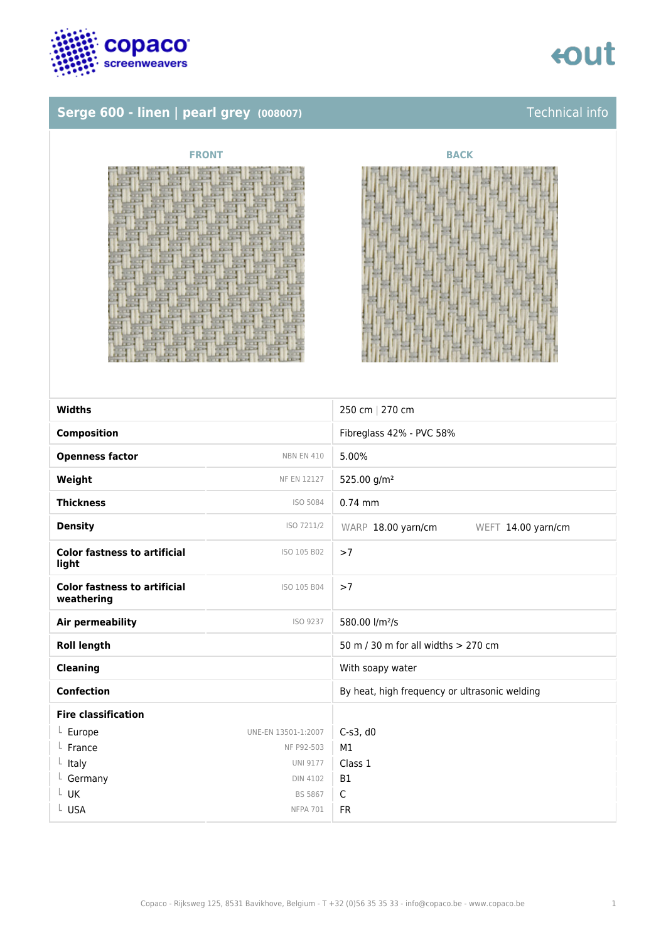

## tout

### **Serge 600 - linen | pearl grey (008007)** Technical info





| <b>Widths</b>                                     |                     | 250 cm   270 cm                               |
|---------------------------------------------------|---------------------|-----------------------------------------------|
| <b>Composition</b>                                |                     | Fibreglass 42% - PVC 58%                      |
| <b>Openness factor</b>                            | <b>NBN EN 410</b>   | 5.00%                                         |
| Weight                                            | <b>NF EN 12127</b>  | 525.00 g/m <sup>2</sup>                       |
| <b>Thickness</b>                                  | ISO 5084            | $0.74$ mm                                     |
| <b>Density</b>                                    | ISO 7211/2          | WARP 18.00 yarn/cm<br>WEFT 14.00 yarn/cm      |
| <b>Color fastness to artificial</b><br>light      | ISO 105 B02         | >7                                            |
| <b>Color fastness to artificial</b><br>weathering | ISO 105 B04         | >7                                            |
| Air permeability                                  | ISO 9237            | 580.00 l/m <sup>2</sup> /s                    |
| <b>Roll length</b>                                |                     | 50 m / 30 m for all widths > 270 cm           |
| <b>Cleaning</b>                                   |                     | With soapy water                              |
| <b>Confection</b>                                 |                     | By heat, high frequency or ultrasonic welding |
| <b>Fire classification</b>                        |                     |                                               |
| $L$ Europe                                        | UNE-EN 13501-1:2007 | $C-s3$ , d $0$                                |
| France                                            | NF P92-503          | M1                                            |
| $L$ Italy                                         | <b>UNI 9177</b>     | Class 1                                       |
| L Germany                                         | <b>DIN 4102</b>     | <b>B1</b>                                     |
| L UK                                              | <b>BS 5867</b>      | $\mathsf C$                                   |
| L USA                                             | <b>NFPA 701</b>     | <b>FR</b>                                     |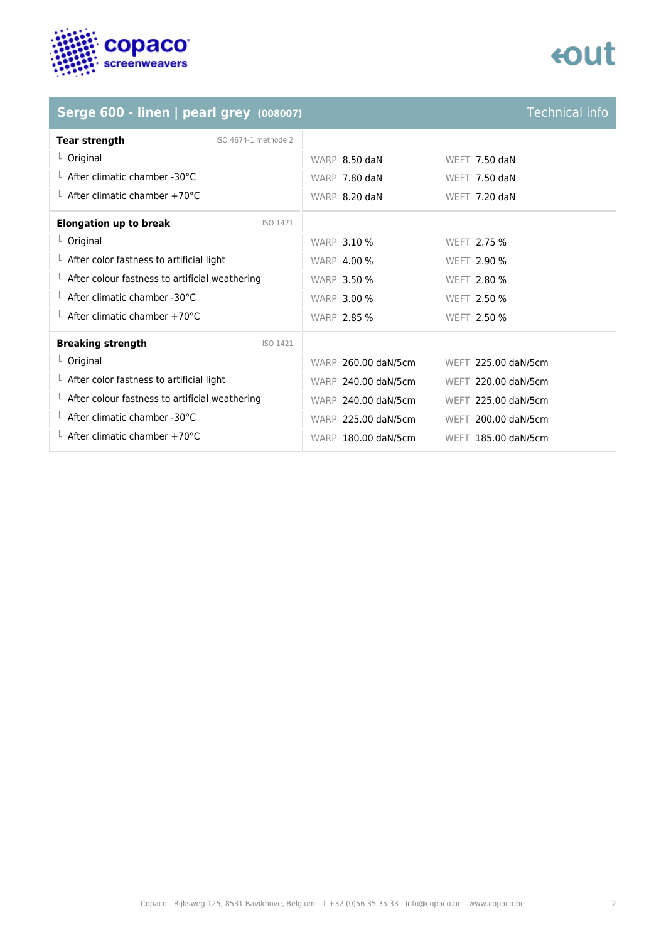

## tout

## **Serge 600 - linen | pearl grey (008007)** Technical info

| <b>Tear strength</b><br>ISO 4674-1 methode 2           |                     |                      |
|--------------------------------------------------------|---------------------|----------------------|
| $L$ Original                                           | WARP 8.50 daN       | <b>WEFT 7.50 daN</b> |
| $\perp$ After climatic chamber -30°C                   | WARP 7.80 daN       | <b>WEFT 7.50 daN</b> |
| $\perp$ After climatic chamber +70°C                   | WARP 8.20 daN       | WEFT 7.20 daN        |
| <b>Elongation up to break</b><br>ISO 1421              |                     |                      |
| $L$ Original                                           | <b>WARP 3.10 %</b>  | WFFT 2.75 %          |
| $\perp$ After color fastness to artificial light       | <b>WARP 4.00 %</b>  | <b>WEFT 2.90 %</b>   |
| $\perp$ After colour fastness to artificial weathering | <b>WARP 3.50 %</b>  | <b>WEFT 2.80 %</b>   |
| $\perp$ After climatic chamber -30°C                   | <b>WARP 3.00 %</b>  | WEFT 2.50 %          |
| $\perp$ After climatic chamber +70°C                   | <b>WARP 2.85 %</b>  | WEFT 2.50 %          |
| <b>Breaking strength</b><br>ISO 1421                   |                     |                      |
| $L$ Original                                           | WARP 260.00 daN/5cm | WEFT 225.00 daN/5cm  |
| $\perp$ After color fastness to artificial light       | WARP 240.00 daN/5cm | WEFT 220.00 daN/5cm  |
| $\perp$ After colour fastness to artificial weathering | WARP 240.00 daN/5cm | WEFT 225.00 daN/5cm  |
| $\perp$ After climatic chamber -30°C                   | WARP 225.00 daN/5cm | WEFT 200.00 daN/5cm  |
| $\perp$ After climatic chamber +70°C                   | WARP 180.00 daN/5cm | WEFT 185.00 daN/5cm  |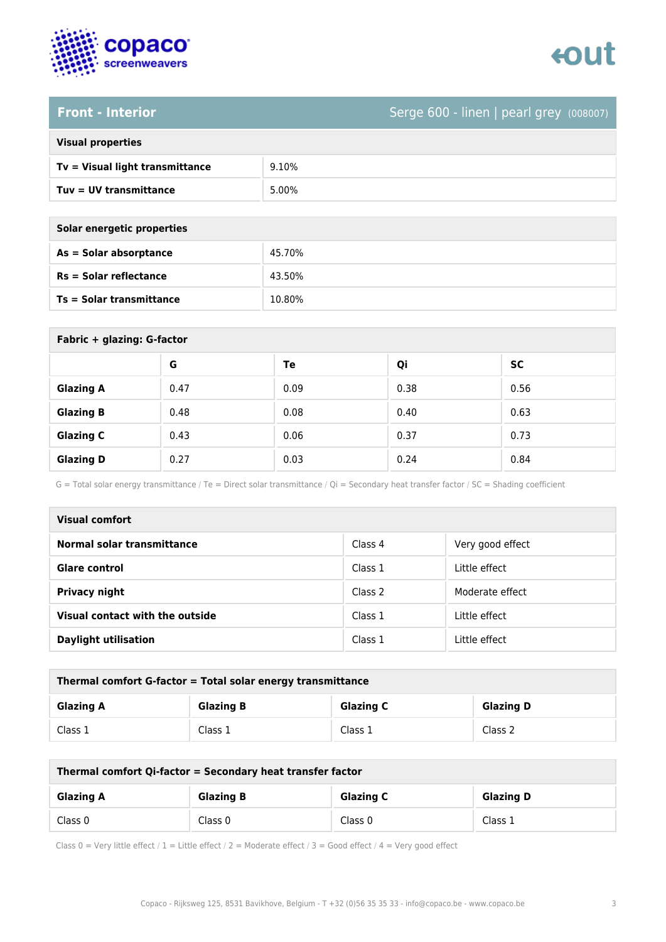

# enut

### **Front - Interior** Serge 600 - linen | pearl grey (008007)

| <b>Visual properties</b> |  |
|--------------------------|--|
|                          |  |

| Tv = Visual light transmittance | 9.10% |
|---------------------------------|-------|
| $Tuv = UV$ transmittance        | 5.00% |

| Solar energetic properties |
|----------------------------|
| $As = Solar absorptance$   |
|                            |

| As = Solar absorptance          | 45.70% |
|---------------------------------|--------|
| $Rs = Solar$ reflectance        | 43.50% |
| <b>Ts = Solar transmittance</b> | 10.80% |

| Fabric + glazing: G-factor |      |      |      |           |
|----------------------------|------|------|------|-----------|
|                            | G    | Te   | Qi   | <b>SC</b> |
| <b>Glazing A</b>           | 0.47 | 0.09 | 0.38 | 0.56      |
| <b>Glazing B</b>           | 0.48 | 0.08 | 0.40 | 0.63      |
| <b>Glazing C</b>           | 0.43 | 0.06 | 0.37 | 0.73      |
| <b>Glazing D</b>           | 0.27 | 0.03 | 0.24 | 0.84      |

G = Total solar energy transmittance / Te = Direct solar transmittance / Qi = Secondary heat transfer factor / SC = Shading coefficient

| Visual comfort                  |         |                  |
|---------------------------------|---------|------------------|
| Normal solar transmittance      | Class 4 | Very good effect |
| <b>Glare control</b>            | Class 1 | Little effect    |
| <b>Privacy night</b>            | Class 2 | Moderate effect  |
| Visual contact with the outside | Class 1 | Little effect    |
| <b>Daylight utilisation</b>     | Class 1 | Little effect    |

| Thermal comfort G-factor = Total solar energy transmittance |                  |                  |                  |
|-------------------------------------------------------------|------------------|------------------|------------------|
| <b>Glazing A</b>                                            | <b>Glazing B</b> | <b>Glazing C</b> | <b>Glazing D</b> |
| Class 1                                                     | Class 1          | Class 1          | Class 2          |

| Thermal comfort Qi-factor = Secondary heat transfer factor |                  |                  |                  |
|------------------------------------------------------------|------------------|------------------|------------------|
| <b>Glazing A</b>                                           | <b>Glazing B</b> | <b>Glazing C</b> | <b>Glazing D</b> |
| Class 0                                                    | Class 0          | Class 0          | Class 1          |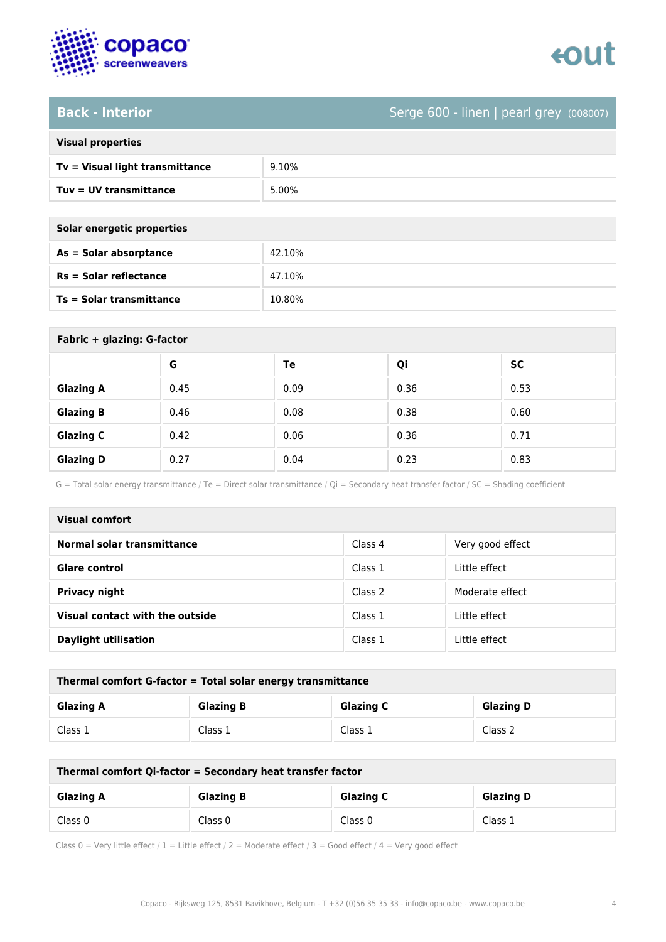

## enut

### **Back - Interior** Serge 600 - linen | pearl grey (008007)

| <b>Visual properties</b> |
|--------------------------|

| Tv = Visual light transmittance | 9.10% |
|---------------------------------|-------|
| Tuy = UV transmittance          | 5.00% |

| Solar energetic properties |        |
|----------------------------|--------|
| As = Solar absorptance     | 42.10% |
| $Rs = Solar$ reflectance   | 47.10% |

**Ts = Solar transmittance** 10.80%

| Fabric + glazing: G-factor |      |      |      |      |
|----------------------------|------|------|------|------|
|                            | G    | Te   | Qi   | SC   |
| <b>Glazing A</b>           | 0.45 | 0.09 | 0.36 | 0.53 |
| <b>Glazing B</b>           | 0.46 | 0.08 | 0.38 | 0.60 |
| <b>Glazing C</b>           | 0.42 | 0.06 | 0.36 | 0.71 |
| <b>Glazing D</b>           | 0.27 | 0.04 | 0.23 | 0.83 |

G = Total solar energy transmittance / Te = Direct solar transmittance / Qi = Secondary heat transfer factor / SC = Shading coefficient

| <b>Visual comfort</b>           |         |                  |
|---------------------------------|---------|------------------|
| Normal solar transmittance      | Class 4 | Very good effect |
| <b>Glare control</b>            | Class 1 | Little effect    |
| <b>Privacy night</b>            | Class 2 | Moderate effect  |
| Visual contact with the outside | Class 1 | Little effect    |
| <b>Daylight utilisation</b>     | Class 1 | Little effect    |

| Thermal comfort G-factor = Total solar energy transmittance |                  |                  |                  |
|-------------------------------------------------------------|------------------|------------------|------------------|
| <b>Glazing A</b>                                            | <b>Glazing B</b> | <b>Glazing C</b> | <b>Glazing D</b> |
| Class 1                                                     | Class 1          | Class 1          | Class 2          |

| Thermal comfort Qi-factor = Secondary heat transfer factor |                  |                  |                  |
|------------------------------------------------------------|------------------|------------------|------------------|
| <b>Glazing A</b>                                           | <b>Glazing B</b> | <b>Glazing C</b> | <b>Glazing D</b> |
| Class 0                                                    | Class 0          | Class 0          | Class 1          |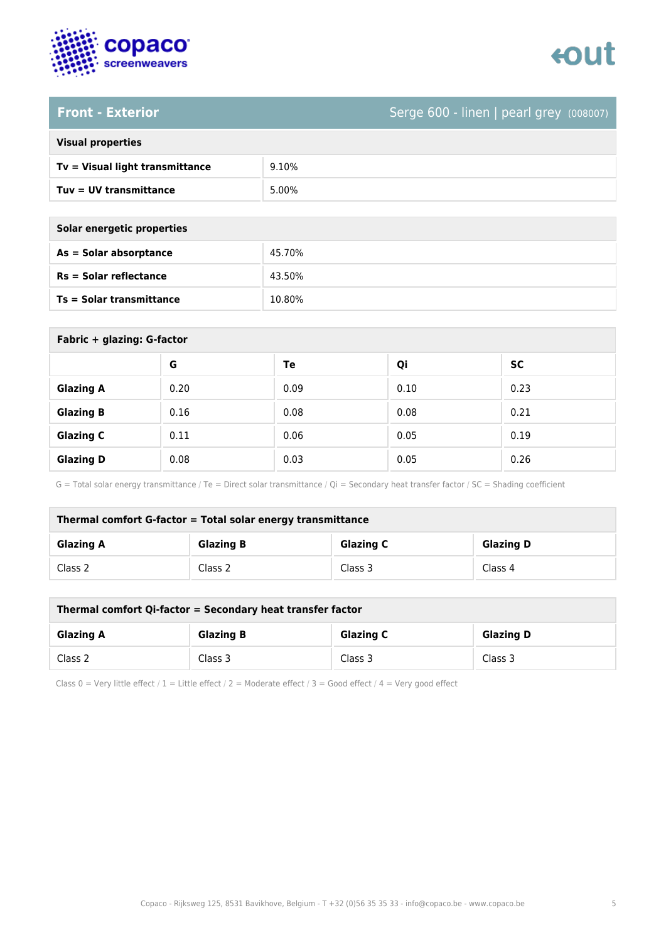

# tout

### **Front - Exterior** Serge 600 - linen | pearl grey (008007)

| <b>Visual properties</b> |  |  |
|--------------------------|--|--|
|                          |  |  |

| Tv = Visual light transmittance | 9.10% |
|---------------------------------|-------|
| $Tuv = UV$ transmittance        | 5.00% |

| Solar energetic properties |        |
|----------------------------|--------|
| $As = Solar absorption$    | 45.70% |
| $Rs = Solar$ reflectance   | 43.50% |

**Ts = Solar transmittance** 10.80%

| Fabric + glazing: G-factor |      |      |      |           |
|----------------------------|------|------|------|-----------|
|                            | G    | Te   | Qi   | <b>SC</b> |
| <b>Glazing A</b>           | 0.20 | 0.09 | 0.10 | 0.23      |
| <b>Glazing B</b>           | 0.16 | 0.08 | 0.08 | 0.21      |
| <b>Glazing C</b>           | 0.11 | 0.06 | 0.05 | 0.19      |
| <b>Glazing D</b>           | 0.08 | 0.03 | 0.05 | 0.26      |

G = Total solar energy transmittance / Te = Direct solar transmittance / Qi = Secondary heat transfer factor / SC = Shading coefficient

| Thermal comfort G-factor = Total solar energy transmittance |                  |                  |                  |
|-------------------------------------------------------------|------------------|------------------|------------------|
| <b>Glazing A</b>                                            | <b>Glazing B</b> | <b>Glazing C</b> | <b>Glazing D</b> |
| Class 2                                                     | Class 2          | Class 3          | Class 4          |

| Thermal comfort Qi-factor = Secondary heat transfer factor |                  |                  |                  |
|------------------------------------------------------------|------------------|------------------|------------------|
| <b>Glazing A</b>                                           | <b>Glazing B</b> | <b>Glazing C</b> | <b>Glazing D</b> |
| Class 2                                                    | Class 3          | Class 3          | Class 3          |